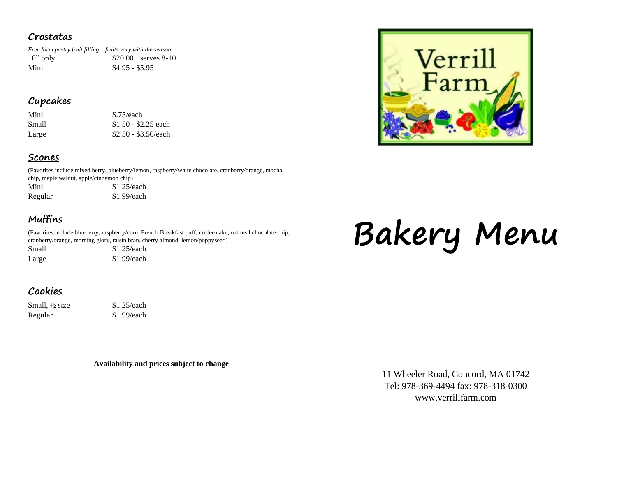#### **Crostatas**

*Free form pastry fruit filling – fruits vary with the season* 10" only \$20.00 serves 8-10 Mini  $$4.95 - $5.95$ 

## **Cupcakes**

| Mini  | \$.75/each   |
|-------|--------------|
| Small | $$1.50 - $2$ |
| Large | $$2.50 - $3$ |

## - \$2.25 each  $-$ \$3.50/each

#### **Scones**

(Favorites include mixed berry, blueberry/lemon, raspberry/white chocolate, cranberry/orange, mocha chip, maple walnut, apple/cinnamon chip) Mini  $$1.25/each$ 

Regular \$1.99/each

# **Muffins**

(Favorites include blueberry, raspberry/corn, French Breakfast puff, coffee cake, oatmeal chocolate chip, cranberry/orange, morning glory, raisin bran, cherry almond, lemon/poppyseed)

Small \$1.25/each Large  $$1.99$ /each

# **Bakery Menu**

# **Cookies**

Small, <sup>1</sup>/<sub>2</sub> size \$1.25/each Regular \$1.99/each

**Availability and prices subject to change**

11 Wheeler Road, Concord, MA 01742 Tel: 978-369-4494 fax: 978-318-0300 www.verrillfarm.com